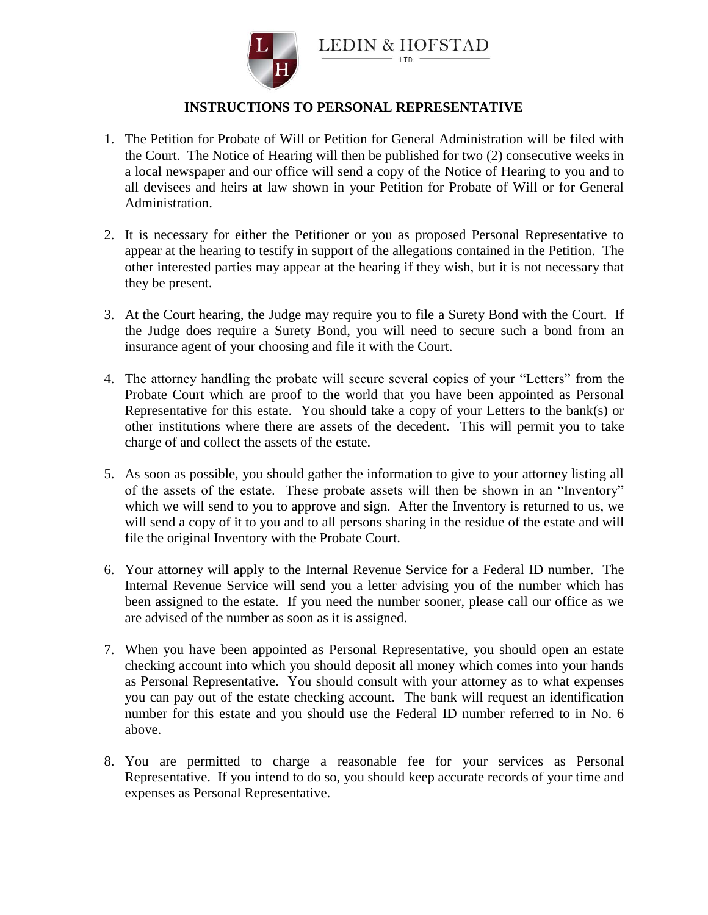

**LEDIN & HOFSTAD** 

## **INSTRUCTIONS TO PERSONAL REPRESENTATIVE**

- 1. The Petition for Probate of Will or Petition for General Administration will be filed with the Court. The Notice of Hearing will then be published for two (2) consecutive weeks in a local newspaper and our office will send a copy of the Notice of Hearing to you and to all devisees and heirs at law shown in your Petition for Probate of Will or for General Administration.
- 2. It is necessary for either the Petitioner or you as proposed Personal Representative to appear at the hearing to testify in support of the allegations contained in the Petition. The other interested parties may appear at the hearing if they wish, but it is not necessary that they be present.
- 3. At the Court hearing, the Judge may require you to file a Surety Bond with the Court. If the Judge does require a Surety Bond, you will need to secure such a bond from an insurance agent of your choosing and file it with the Court.
- 4. The attorney handling the probate will secure several copies of your "Letters" from the Probate Court which are proof to the world that you have been appointed as Personal Representative for this estate. You should take a copy of your Letters to the bank(s) or other institutions where there are assets of the decedent. This will permit you to take charge of and collect the assets of the estate.
- 5. As soon as possible, you should gather the information to give to your attorney listing all of the assets of the estate. These probate assets will then be shown in an "Inventory" which we will send to you to approve and sign. After the Inventory is returned to us, we will send a copy of it to you and to all persons sharing in the residue of the estate and will file the original Inventory with the Probate Court.
- 6. Your attorney will apply to the Internal Revenue Service for a Federal ID number. The Internal Revenue Service will send you a letter advising you of the number which has been assigned to the estate. If you need the number sooner, please call our office as we are advised of the number as soon as it is assigned.
- 7. When you have been appointed as Personal Representative, you should open an estate checking account into which you should deposit all money which comes into your hands as Personal Representative. You should consult with your attorney as to what expenses you can pay out of the estate checking account. The bank will request an identification number for this estate and you should use the Federal ID number referred to in No. 6 above.
- 8. You are permitted to charge a reasonable fee for your services as Personal Representative. If you intend to do so, you should keep accurate records of your time and expenses as Personal Representative.